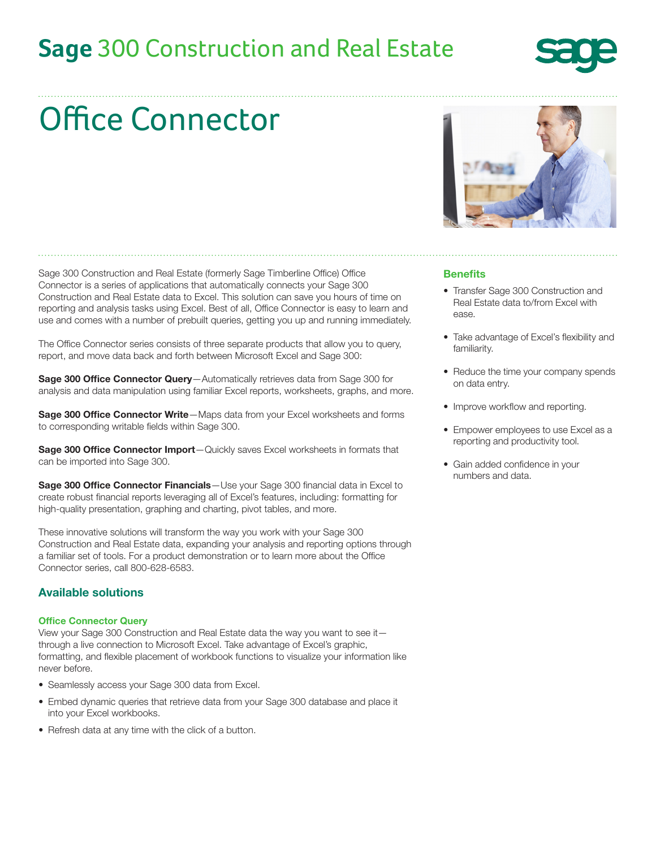## **Sage** 300 Construction and Real Estate



# Office Connector

Sage 300 Construction and Real Estate (formerly Sage Timberline Office) Office Connector is a series of applications that automatically connects your Sage 300 Construction and Real Estate data to Excel. This solution can save you hours of time on reporting and analysis tasks using Excel. Best of all, Office Connector is easy to learn and use and comes with a number of prebuilt queries, getting you up and running immediately.

The Office Connector series consists of three separate products that allow you to query, report, and move data back and forth between Microsoft Excel and Sage 300:

Sage 300 Office Connector Query-Automatically retrieves data from Sage 300 for analysis and data manipulation using familiar Excel reports, worksheets, graphs, and more.

**Sage 300 Office Connector Write**—Maps data from your Excel worksheets and forms to corresponding writable fields within Sage 300.

Sage 300 Office Connector Import-Quickly saves Excel worksheets in formats that can be imported into Sage 300.

Sage 300 Office Connector Financials - Use your Sage 300 financial data in Excel to create robust financial reports leveraging all of Excel's features, including: formatting for high-quality presentation, graphing and charting, pivot tables, and more.

These innovative solutions will transform the way you work with your Sage 300 Construction and Real Estate data, expanding your analysis and reporting options through a familiar set of tools. For a product demonstration or to learn more about the Office Connector series, call 800-628-6583.

#### Available solutions

#### Office Connector Query

View your Sage 300 Construction and Real Estate data the way you want to see it through a live connection to Microsoft Excel. Take advantage of Excel's graphic, formatting, and flexible placement of workbook functions to visualize your information like never before.

- Seamlessly access your Sage 300 data from Excel.
- Embed dynamic queries that retrieve data from your Sage 300 database and place it into your Excel workbooks.
- Refresh data at any time with the click of a button.



#### **Benefits**

- Transfer Sage 300 Construction and Real Estate data to/from Excel with ease.
- Take advantage of Excel's flexibility and familiarity.
- Reduce the time your company spends on data entry.
- Improve workflow and reporting.
- Empower employees to use Excel as a reporting and productivity tool.
- Gain added confidence in your numbers and data.